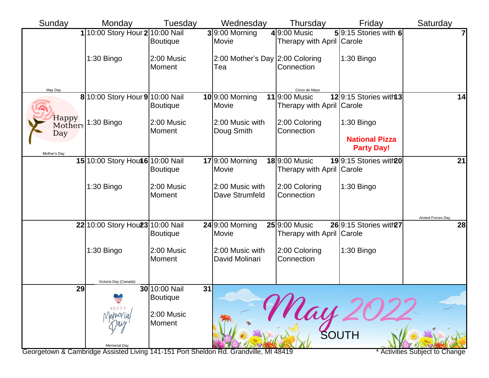| Sunday                  | Monday                                                                               | Tuesday              |    | Wednesday                              | Thursday                                          | Friday                                     | Saturday                     |
|-------------------------|--------------------------------------------------------------------------------------|----------------------|----|----------------------------------------|---------------------------------------------------|--------------------------------------------|------------------------------|
|                         | 1 10:00 Story Hour 2 10:00 Nail                                                      | <b>Boutique</b>      |    | $3 9:00$ Morning<br>Movie              | $4 9:00$ Music<br>Therapy with April Carole       | 59:15 Stories with 6                       | 7                            |
|                         | 1:30 Bingo                                                                           | 2:00 Music<br>Moment |    | 2:00 Mother's Day 2:00 Coloring<br>Tea | Connection                                        | 1:30 Bingo                                 |                              |
| May Day                 | 8 10:00 Story Hour 9 10:00 Nail                                                      |                      |    | $10$ 9:00 Morning                      | Cinco de Mayo<br>119:00 Music                     | 129:15 Stories with 3                      | 14                           |
|                         |                                                                                      | <b>Boutique</b>      |    | Movie                                  | Therapy with April Carole                         |                                            |                              |
| Happy<br>Mothers<br>Day | 1:30 Bingo                                                                           | 2:00 Music<br>Moment |    | 2:00 Music with<br>Doug Smith          | 2:00 Coloring<br>Connection                       | 1:30 Bingo                                 |                              |
| Mother's Day            |                                                                                      |                      |    |                                        |                                                   | <b>National Pizza</b><br><b>Party Day!</b> |                              |
|                         | 15 10:00 Story Hout 6 10:00 Nail                                                     | <b>Boutique</b>      |    | $17$ 9:00 Morning<br>Movie             | <b>18</b> 9:00 Music<br>Therapy with April Carole | 199:15 Stories with 20                     | 21                           |
|                         | 1:30 Bingo                                                                           | 2:00 Music<br>Moment |    | 2:00 Music with<br>Dave Strumfeld      | 2:00 Coloring<br>Connection                       | 1:30 Bingo                                 |                              |
|                         | 22 10:00 Story Hou23 10:00 Nail                                                      |                      |    | $24$ 9:00 Morning                      | 25 9:00 Music                                     | 26 9:15 Stories with 27                    | Armed Forces Day<br>28       |
|                         |                                                                                      | <b>Boutique</b>      |    | Movie                                  | Therapy with April Carole                         |                                            |                              |
|                         | 1:30 Bingo                                                                           | 2:00 Music<br>Moment |    | 2:00 Music with<br>David Molinari      | 2:00 Coloring<br>Connection                       | 1:30 Bingo                                 |                              |
| 29                      | Victoria Day (Canada)                                                                | 30 10:00 Nail        | 31 |                                        |                                                   |                                            |                              |
|                         |                                                                                      | <b>Boutique</b>      |    |                                        | May                                               |                                            |                              |
|                         |                                                                                      | 2:00 Music<br>Moment |    |                                        |                                                   |                                            |                              |
|                         | <b>Memorial Day</b>                                                                  |                      |    |                                        |                                                   | SOUTH                                      |                              |
|                         | Georgetown & Cambridge Assisted Living 141-151 Port Sheldon Rd. Grandville, MI 48419 |                      |    |                                        |                                                   |                                            | Activities Subject to Change |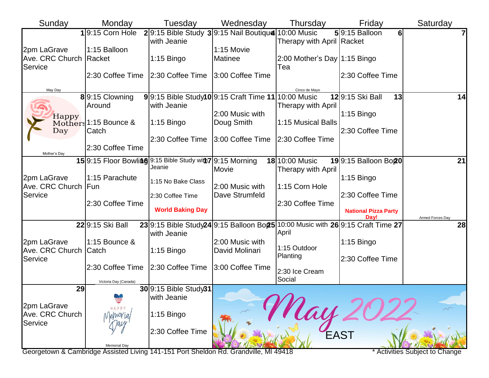| Sunday                                           | Monday                                                    | Tuesday                           | Wednesday                                           | Thursday                               | Friday                                                                                      | Saturday         |
|--------------------------------------------------|-----------------------------------------------------------|-----------------------------------|-----------------------------------------------------|----------------------------------------|---------------------------------------------------------------------------------------------|------------------|
|                                                  | $1 9:15$ Corn Hole                                        | with Jeanie                       | 29:15 Bible Study 39:15 Nail Boutique 10:00 Music   | Therapy with April Racket              | $59:15$ Balloon<br>6 <sup>1</sup>                                                           | 7                |
| 2pm LaGrave<br>Ave. CRC Church Racket<br>Service | 1:15 Balloon                                              | $1:15$ Bingo                      | 1:15 Movie<br>Matinee                               | 2:00 Mother's Day $ 1:15$ Bingo<br>Tea |                                                                                             |                  |
|                                                  | 2:30 Coffee Time                                          | 2:30 Coffee Time 3:00 Coffee Time |                                                     |                                        | 2:30 Coffee Time                                                                            |                  |
| May Day                                          | 89:15 Clowning                                            |                                   | 9 9:15 Bible Study10 9:15 Craft Time 11 10:00 Music | Cinco de Mayo                          | 129:15 Ski Ball<br>13                                                                       | 14               |
| Happy                                            | Around                                                    | with Jeanie                       |                                                     | Therapy with April                     |                                                                                             |                  |
|                                                  | Mothers 1:15 Bounce &                                     | $1:15$ Bingo                      | 2:00 Music with<br>Doug Smith                       | 1:15 Musical Balls                     | $1:15$ Bingo                                                                                |                  |
| Day                                              | Catch                                                     | 2:30 Coffee Time                  | 3:00 Coffee Time                                    |                                        | 2:30 Coffee Time                                                                            |                  |
| Mother's Day                                     | l2:30 Coffee Time                                         |                                   |                                                     | 2:30 Coffee Time                       |                                                                                             |                  |
|                                                  | 159:15 Floor Bowling 9:15 Bible Study with 7 9:15 Morning | Jeanie                            | Movie                                               | 18 10:00 Music<br>Therapy with April   | 199:15 Balloon Bo20                                                                         | 21               |
| 2pm LaGrave<br>Ave. CRC Church Fun               | 1:15 Parachute                                            | 1:15 No Bake Class                | 2:00 Music with                                     | 1:15 Corn Hole                         | $1:15$ Bingo                                                                                |                  |
| Service                                          |                                                           | 2:30 Coffee Time                  | Dave Strumfeld                                      |                                        | 2:30 Coffee Time                                                                            |                  |
|                                                  | 2:30 Coffee Time                                          | <b>World Baking Day</b>           |                                                     | 2:30 Coffee Time                       | <b>National Pizza Party</b><br>Dav!                                                         | Armed Forces Day |
| 2pm LaGrave<br>Ave. CRC Church Catch<br>Service  | 22 9:15 Ski Ball                                          | with Jeanie                       |                                                     | April                                  | 23 9:15 Bible Study24 9:15 Balloon Bo <sub>25</sub>  10:00 Music with 26 9:15 Craft Time 27 | 28               |
|                                                  | 1:15 Bounce &                                             | $1:15$ Bingo                      | 2:00 Music with<br>David Molinari                   | 1:15 Outdoor<br>Planting               | $1:15$ Bingo                                                                                |                  |
|                                                  | 2:30 Coffee Time                                          | 2:30 Coffee Time                  | 3:00 Coffee Time                                    | 2:30 Ice Cream                         | 2:30 Coffee Time                                                                            |                  |
|                                                  | Victoria Day (Canada)                                     |                                   |                                                     | Social                                 |                                                                                             |                  |
| 29                                               |                                                           | 30 9:15 Bible Study31             |                                                     |                                        |                                                                                             |                  |
| 2pm LaGrave                                      |                                                           | with Jeanie                       |                                                     |                                        |                                                                                             |                  |
| Ave. CRC Church<br>Service                       | HAPPY<br>Vernoria                                         | $1:15$ Bingo                      |                                                     | Nai                                    |                                                                                             |                  |
|                                                  | <b>Memorial Day</b>                                       | 2:30 Coffee Time                  |                                                     |                                        | <b>EAST</b>                                                                                 |                  |

Georgetown & Cambridge Assisted Living 141-151 Port Sheldon Rd. Grandville, MI 49418 \* \* Activities Subject to Change